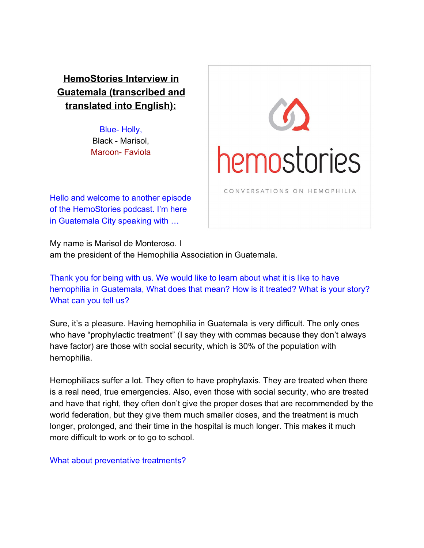**HemoStories Interview in Guatemala (transcribed and translated into English):**

> Blue- Holly, Black - Marisol, Maroon- Faviola



Hello and welcome to another episode of the HemoStories podcast. I'm here in Guatemala City speaking with …

My name is Marisol de Monteroso. I am the president of the Hemophilia Association in Guatemala.

Thank you for being with us. We would like to learn about what it is like to have hemophilia in Guatemala, What does that mean? How is it treated? What is your story? What can you tell us?

Sure, it's a pleasure. Having hemophilia in Guatemala is very difficult. The only ones who have "prophylactic treatment" (I say they with commas because they don't always have factor) are those with social security, which is 30% of the population with hemophilia.

Hemophiliacs suffer a lot. They often to have prophylaxis. They are treated when there is a real need, true emergencies. Also, even those with social security, who are treated and have that right, they often don't give the proper doses that are recommended by the world federation, but they give them much smaller doses, and the treatment is much longer, prolonged, and their time in the hospital is much longer. This makes it much more difficult to work or to go to school.

What about preventative treatments?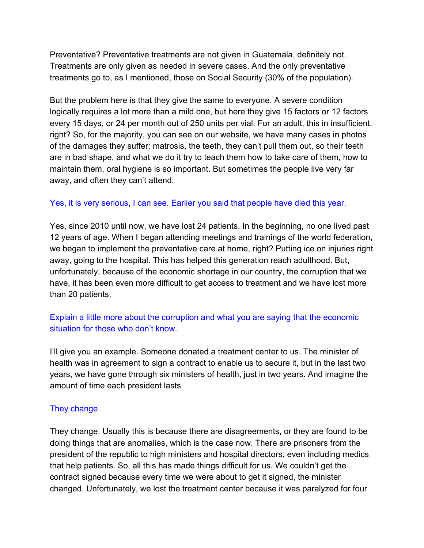Preventative? Preventative treatments are not given in Guatemala, definitely not. Treatments are only given as needed in severe cases. And the only preventative treatments go to, as I mentioned, those on Social Security (30% of the population).

But the problem here is that they give the same to everyone. A severe condition logically requires a lot more than a mild one, but here they give 15 factors or 12 factors every 15 days, or 24 per month out of 250 units per vial. For an adult, this in insufficient, right? So, for the majority, you can see on our website, we have many cases in photos of the damages they suffer: matrosis, the teeth, they can't pull them out, so their teeth are in bad shape, and what we do it try to teach them how to take care of them, how to maintain them, oral hygiene is so important. But sometimes the people live very far away, and often they can't attend.

## Yes, it is very serious, I can see. Earlier you said that people have died this year.

Yes, since 2010 until now, we have lost 24 patients. In the beginning, no one lived past 12 years of age. When I began attending meetings and trainings of the world federation, we began to implement the preventative care at home, right? Putting ice on injuries right away, going to the hospital. This has helped this generation reach adulthood. But, unfortunately, because of the economic shortage in our country, the corruption that we have, it has been even more difficult to get access to treatment and we have lost more than 20 patients.

## Explain a little more about the corruption and what you are saying that the economic situation for those who don't know.

I'll give you an example. Someone donated a treatment center to us. The minister of health was in agreement to sign a contract to enable us to secure it, but in the last two years, we have gone through six ministers of health, just in two years. And imagine the amount of time each president lasts

## They change.

They change. Usually this is because there are disagreements, or they are found to be doing things that are anomalies, which is the case now. There are prisoners from the president of the republic to high ministers and hospital directors, even including medics that help patients. So, all this has made things difficult for us. We couldn't get the contract signed because every time we were about to get it signed, the minister changed. Unfortunately, we lost the treatment center because it was paralyzed for four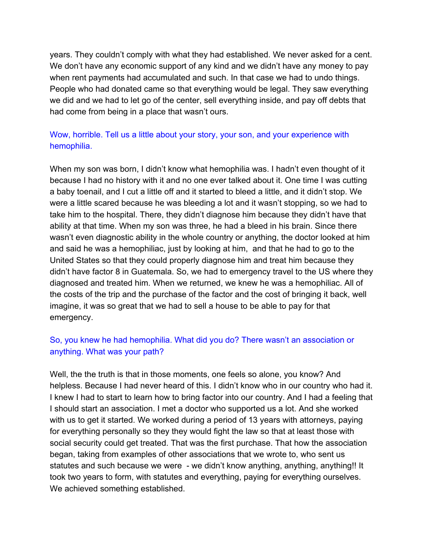years. They couldn't comply with what they had established. We never asked for a cent. We don't have any economic support of any kind and we didn't have any money to pay when rent payments had accumulated and such. In that case we had to undo things. People who had donated came so that everything would be legal. They saw everything we did and we had to let go of the center, sell everything inside, and pay off debts that had come from being in a place that wasn't ours.

# Wow, horrible. Tell us a little about your story, your son, and your experience with hemophilia.

When my son was born, I didn't know what hemophilia was. I hadn't even thought of it because I had no history with it and no one ever talked about it. One time I was cutting a baby toenail, and I cut a little off and it started to bleed a little, and it didn't stop. We were a little scared because he was bleeding a lot and it wasn't stopping, so we had to take him to the hospital. There, they didn't diagnose him because they didn't have that ability at that time. When my son was three, he had a bleed in his brain. Since there wasn't even diagnostic ability in the whole country or anything, the doctor looked at him and said he was a hemophiliac, just by looking at him, and that he had to go to the United States so that they could properly diagnose him and treat him because they didn't have factor 8 in Guatemala. So, we had to emergency travel to the US where they diagnosed and treated him. When we returned, we knew he was a hemophiliac. All of the costs of the trip and the purchase of the factor and the cost of bringing it back, well imagine, it was so great that we had to sell a house to be able to pay for that emergency.

# So, you knew he had hemophilia. What did you do? There wasn't an association or anything. What was your path?

Well, the the truth is that in those moments, one feels so alone, you know? And helpless. Because I had never heard of this. I didn't know who in our country who had it. I knew I had to start to learn how to bring factor into our country. And I had a feeling that I should start an association. I met a doctor who supported us a lot. And she worked with us to get it started. We worked during a period of 13 years with attorneys, paying for everything personally so they they would fight the law so that at least those with social security could get treated. That was the first purchase. That how the association began, taking from examples of other associations that we wrote to, who sent us statutes and such because we were - we didn't know anything, anything, anything!! It took two years to form, with statutes and everything, paying for everything ourselves. We achieved something established.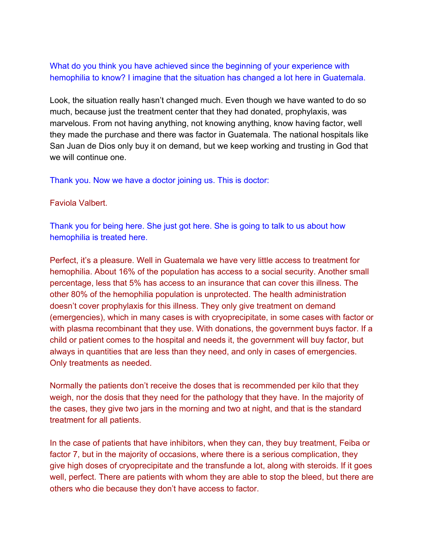What do you think you have achieved since the beginning of your experience with hemophilia to know? I imagine that the situation has changed a lot here in Guatemala.

Look, the situation really hasn't changed much. Even though we have wanted to do so much, because just the treatment center that they had donated, prophylaxis, was marvelous. From not having anything, not knowing anything, know having factor, well they made the purchase and there was factor in Guatemala. The national hospitals like San Juan de Dios only buy it on demand, but we keep working and trusting in God that we will continue one.

Thank you. Now we have a doctor joining us. This is doctor:

Faviola Valbert.

Thank you for being here. She just got here. She is going to talk to us about how hemophilia is treated here.

Perfect, it's a pleasure. Well in Guatemala we have very little access to treatment for hemophilia. About 16% of the population has access to a social security. Another small percentage, less that 5% has access to an insurance that can cover this illness. The other 80% of the hemophilia population is unprotected. The health administration doesn't cover prophylaxis for this illness. They only give treatment on demand (emergencies), which in many cases is with cryoprecipitate, in some cases with factor or with plasma recombinant that they use. With donations, the government buys factor. If a child or patient comes to the hospital and needs it, the government will buy factor, but always in quantities that are less than they need, and only in cases of emergencies. Only treatments as needed.

Normally the patients don't receive the doses that is recommended per kilo that they weigh, nor the dosis that they need for the pathology that they have. In the majority of the cases, they give two jars in the morning and two at night, and that is the standard treatment for all patients.

In the case of patients that have inhibitors, when they can, they buy treatment, Feiba or factor 7, but in the majority of occasions, where there is a serious complication, they give high doses of cryoprecipitate and the transfunde a lot, along with steroids. If it goes well, perfect. There are patients with whom they are able to stop the bleed, but there are others who die because they don't have access to factor.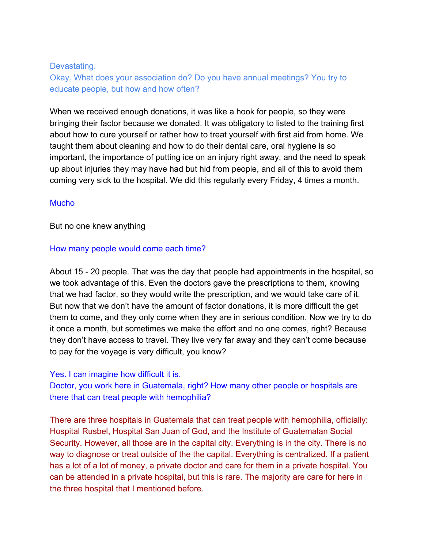### Devastating.

Okay. What does your association do? Do you have annual meetings? You try to educate people, but how and how often?

When we received enough donations, it was like a hook for people, so they were bringing their factor because we donated. It was obligatory to listed to the training first about how to cure yourself or rather how to treat yourself with first aid from home. We taught them about cleaning and how to do their dental care, oral hygiene is so important, the importance of putting ice on an injury right away, and the need to speak up about injuries they may have had but hid from people, and all of this to avoid them coming very sick to the hospital. We did this regularly every Friday, 4 times a month.

### **Mucho**

But no one knew anything

#### How many people would come each time?

About 15 - 20 people. That was the day that people had appointments in the hospital, so we took advantage of this. Even the doctors gave the prescriptions to them, knowing that we had factor, so they would write the prescription, and we would take care of it. But now that we don't have the amount of factor donations, it is more difficult the get them to come, and they only come when they are in serious condition. Now we try to do it once a month, but sometimes we make the effort and no one comes, right? Because they don't have access to travel. They live very far away and they can't come because to pay for the voyage is very difficult, you know?

#### Yes. I can imagine how difficult it is.

Doctor, you work here in Guatemala, right? How many other people or hospitals are there that can treat people with hemophilia?

There are three hospitals in Guatemala that can treat people with hemophilia, officially: Hospital Rusbel, Hospital San Juan of God, and the Institute of Guatemalan Social Security. However, all those are in the capital city. Everything is in the city. There is no way to diagnose or treat outside of the the capital. Everything is centralized. If a patient has a lot of a lot of money, a private doctor and care for them in a private hospital. You can be attended in a private hospital, but this is rare. The majority are care for here in the three hospital that I mentioned before.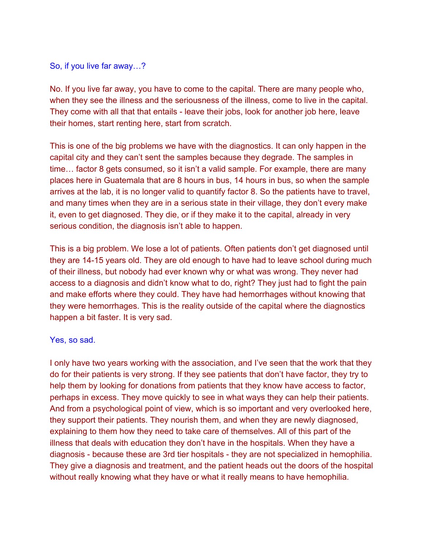#### So, if you live far away…?

No. If you live far away, you have to come to the capital. There are many people who, when they see the illness and the seriousness of the illness, come to live in the capital. They come with all that that entails - leave their jobs, look for another job here, leave their homes, start renting here, start from scratch.

This is one of the big problems we have with the diagnostics. It can only happen in the capital city and they can't sent the samples because they degrade. The samples in time… factor 8 gets consumed, so it isn't a valid sample. For example, there are many places here in Guatemala that are 8 hours in bus, 14 hours in bus, so when the sample arrives at the lab, it is no longer valid to quantify factor 8. So the patients have to travel, and many times when they are in a serious state in their village, they don't every make it, even to get diagnosed. They die, or if they make it to the capital, already in very serious condition, the diagnosis isn't able to happen.

This is a big problem. We lose a lot of patients. Often patients don't get diagnosed until they are 14-15 years old. They are old enough to have had to leave school during much of their illness, but nobody had ever known why or what was wrong. They never had access to a diagnosis and didn't know what to do, right? They just had to fight the pain and make efforts where they could. They have had hemorrhages without knowing that they were hemorrhages. This is the reality outside of the capital where the diagnostics happen a bit faster. It is very sad.

#### Yes, so sad.

I only have two years working with the association, and I've seen that the work that they do for their patients is very strong. If they see patients that don't have factor, they try to help them by looking for donations from patients that they know have access to factor, perhaps in excess. They move quickly to see in what ways they can help their patients. And from a psychological point of view, which is so important and very overlooked here, they support their patients. They nourish them, and when they are newly diagnosed, explaining to them how they need to take care of themselves. All of this part of the illness that deals with education they don't have in the hospitals. When they have a diagnosis - because these are 3rd tier hospitals - they are not specialized in hemophilia. They give a diagnosis and treatment, and the patient heads out the doors of the hospital without really knowing what they have or what it really means to have hemophilia.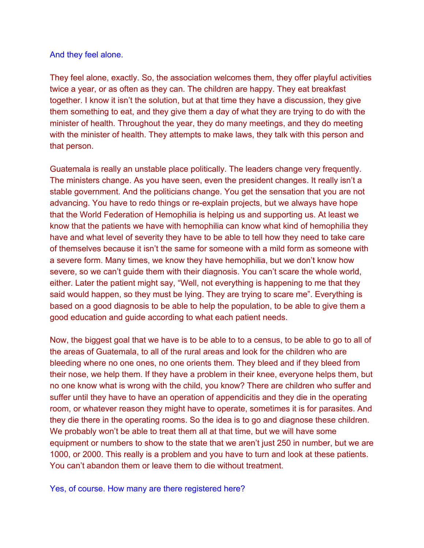### And they feel alone.

They feel alone, exactly. So, the association welcomes them, they offer playful activities twice a year, or as often as they can. The children are happy. They eat breakfast together. I know it isn't the solution, but at that time they have a discussion, they give them something to eat, and they give them a day of what they are trying to do with the minister of health. Throughout the year, they do many meetings, and they do meeting with the minister of health. They attempts to make laws, they talk with this person and that person.

Guatemala is really an unstable place politically. The leaders change very frequently. The ministers change. As you have seen, even the president changes. It really isn't a stable government. And the politicians change. You get the sensation that you are not advancing. You have to redo things or re-explain projects, but we always have hope that the World Federation of Hemophilia is helping us and supporting us. At least we know that the patients we have with hemophilia can know what kind of hemophilia they have and what level of severity they have to be able to tell how they need to take care of themselves because it isn't the same for someone with a mild form as someone with a severe form. Many times, we know they have hemophilia, but we don't know how severe, so we can't guide them with their diagnosis. You can't scare the whole world, either. Later the patient might say, "Well, not everything is happening to me that they said would happen, so they must be lying. They are trying to scare me". Everything is based on a good diagnosis to be able to help the population, to be able to give them a good education and guide according to what each patient needs.

Now, the biggest goal that we have is to be able to to a census, to be able to go to all of the areas of Guatemala, to all of the rural areas and look for the children who are bleeding where no one ones, no one orients them. They bleed and if they bleed from their nose, we help them. If they have a problem in their knee, everyone helps them, but no one know what is wrong with the child, you know? There are children who suffer and suffer until they have to have an operation of appendicitis and they die in the operating room, or whatever reason they might have to operate, sometimes it is for parasites. And they die there in the operating rooms. So the idea is to go and diagnose these children. We probably won't be able to treat them all at that time, but we will have some equipment or numbers to show to the state that we aren't just 250 in number, but we are 1000, or 2000. This really is a problem and you have to turn and look at these patients. You can't abandon them or leave them to die without treatment.

Yes, of course. How many are there registered here?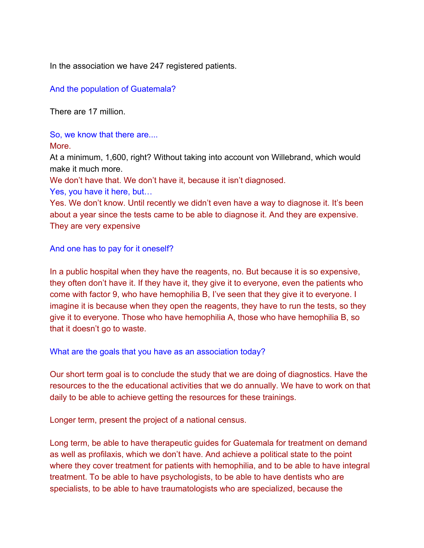In the association we have 247 registered patients.

And the population of Guatemala?

There are 17 million.

So, we know that there are....

## More.

At a minimum, 1,600, right? Without taking into account von Willebrand, which would make it much more.

We don't have that. We don't have it, because it isn't diagnosed.

Yes, you have it here, but…

Yes. We don't know. Until recently we didn't even have a way to diagnose it. It's been about a year since the tests came to be able to diagnose it. And they are expensive. They are very expensive

And one has to pay for it oneself?

In a public hospital when they have the reagents, no. But because it is so expensive, they often don't have it. If they have it, they give it to everyone, even the patients who come with factor 9, who have hemophilia B, I've seen that they give it to everyone. I imagine it is because when they open the reagents, they have to run the tests, so they give it to everyone. Those who have hemophilia A, those who have hemophilia B, so that it doesn't go to waste.

What are the goals that you have as an association today?

Our short term goal is to conclude the study that we are doing of diagnostics. Have the resources to the the educational activities that we do annually. We have to work on that daily to be able to achieve getting the resources for these trainings.

Longer term, present the project of a national census.

Long term, be able to have therapeutic guides for Guatemala for treatment on demand as well as profilaxis, which we don't have. And achieve a political state to the point where they cover treatment for patients with hemophilia, and to be able to have integral treatment. To be able to have psychologists, to be able to have dentists who are specialists, to be able to have traumatologists who are specialized, because the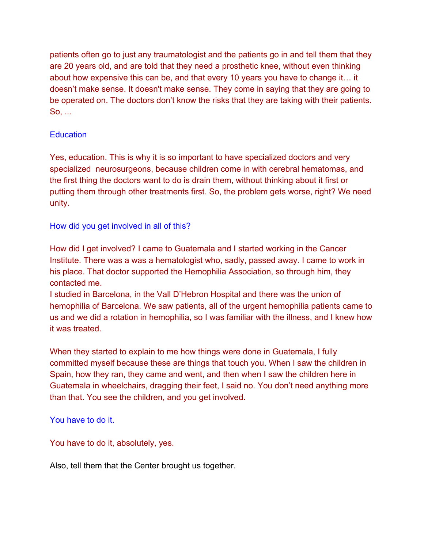patients often go to just any traumatologist and the patients go in and tell them that they are 20 years old, and are told that they need a prosthetic knee, without even thinking about how expensive this can be, and that every 10 years you have to change it… it doesn't make sense. It doesn't make sense. They come in saying that they are going to be operated on. The doctors don't know the risks that they are taking with their patients. So, ...

## **Education**

Yes, education. This is why it is so important to have specialized doctors and very specialized neurosurgeons, because children come in with cerebral hematomas, and the first thing the doctors want to do is drain them, without thinking about it first or putting them through other treatments first. So, the problem gets worse, right? We need unity.

How did you get involved in all of this?

How did I get involved? I came to Guatemala and I started working in the Cancer Institute. There was a was a hematologist who, sadly, passed away. I came to work in his place. That doctor supported the Hemophilia Association, so through him, they contacted me.

I studied in Barcelona, in the Vall D'Hebron Hospital and there was the union of hemophilia of Barcelona. We saw patients, all of the urgent hemophilia patients came to us and we did a rotation in hemophilia, so I was familiar with the illness, and I knew how it was treated.

When they started to explain to me how things were done in Guatemala, I fully committed myself because these are things that touch you. When I saw the children in Spain, how they ran, they came and went, and then when I saw the children here in Guatemala in wheelchairs, dragging their feet, I said no. You don't need anything more than that. You see the children, and you get involved.

You have to do it.

You have to do it, absolutely, yes.

Also, tell them that the Center brought us together.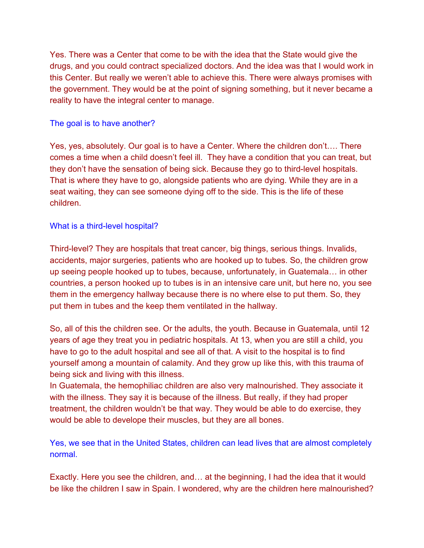Yes. There was a Center that come to be with the idea that the State would give the drugs, and you could contract specialized doctors. And the idea was that I would work in this Center. But really we weren't able to achieve this. There were always promises with the government. They would be at the point of signing something, but it never became a reality to have the integral center to manage.

## The goal is to have another?

Yes, yes, absolutely. Our goal is to have a Center. Where the children don't…. There comes a time when a child doesn't feel ill. They have a condition that you can treat, but they don't have the sensation of being sick. Because they go to third-level hospitals. That is where they have to go, alongside patients who are dying. While they are in a seat waiting, they can see someone dying off to the side. This is the life of these children.

## What is a third-level hospital?

Third-level? They are hospitals that treat cancer, big things, serious things. Invalids, accidents, major surgeries, patients who are hooked up to tubes. So, the children grow up seeing people hooked up to tubes, because, unfortunately, in Guatemala… in other countries, a person hooked up to tubes is in an intensive care unit, but here no, you see them in the emergency hallway because there is no where else to put them. So, they put them in tubes and the keep them ventilated in the hallway.

So, all of this the children see. Or the adults, the youth. Because in Guatemala, until 12 years of age they treat you in pediatric hospitals. At 13, when you are still a child, you have to go to the adult hospital and see all of that. A visit to the hospital is to find yourself among a mountain of calamity. And they grow up like this, with this trauma of being sick and living with this illness.

In Guatemala, the hemophiliac children are also very malnourished. They associate it with the illness. They say it is because of the illness. But really, if they had proper treatment, the children wouldn't be that way. They would be able to do exercise, they would be able to develope their muscles, but they are all bones.

Yes, we see that in the United States, children can lead lives that are almost completely normal.

Exactly. Here you see the children, and… at the beginning, I had the idea that it would be like the children I saw in Spain. I wondered, why are the children here malnourished?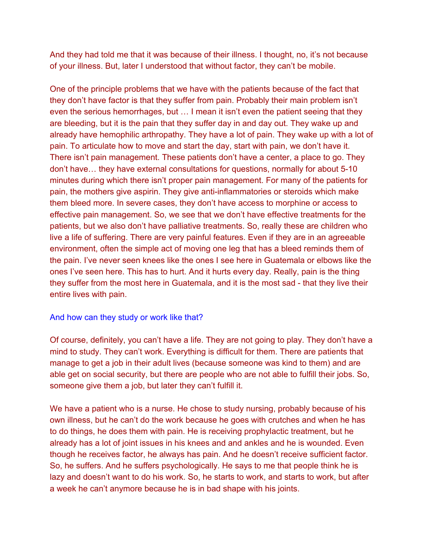And they had told me that it was because of their illness. I thought, no, it's not because of your illness. But, later I understood that without factor, they can't be mobile.

One of the principle problems that we have with the patients because of the fact that they don't have factor is that they suffer from pain. Probably their main problem isn't even the serious hemorrhages, but … I mean it isn't even the patient seeing that they are bleeding, but it is the pain that they suffer day in and day out. They wake up and already have hemophilic arthropathy. They have a lot of pain. They wake up with a lot of pain. To articulate how to move and start the day, start with pain, we don't have it. There isn't pain management. These patients don't have a center, a place to go. They don't have… they have external consultations for questions, normally for about 5-10 minutes during which there isn't proper pain management. For many of the patients for pain, the mothers give aspirin. They give anti-inflammatories or steroids which make them bleed more. In severe cases, they don't have access to morphine or access to effective pain management. So, we see that we don't have effective treatments for the patients, but we also don't have palliative treatments. So, really these are children who live a life of suffering. There are very painful features. Even if they are in an agreeable environment, often the simple act of moving one leg that has a bleed reminds them of the pain. I've never seen knees like the ones I see here in Guatemala or elbows like the ones I've seen here. This has to hurt. And it hurts every day. Really, pain is the thing they suffer from the most here in Guatemala, and it is the most sad - that they live their entire lives with pain.

### And how can they study or work like that?

Of course, definitely, you can't have a life. They are not going to play. They don't have a mind to study. They can't work. Everything is difficult for them. There are patients that manage to get a job in their adult lives (because someone was kind to them) and are able get on social security, but there are people who are not able to fulfill their jobs. So, someone give them a job, but later they can't fulfill it.

We have a patient who is a nurse. He chose to study nursing, probably because of his own illness, but he can't do the work because he goes with crutches and when he has to do things, he does them with pain. He is receiving prophylactic treatment, but he already has a lot of joint issues in his knees and and ankles and he is wounded. Even though he receives factor, he always has pain. And he doesn't receive sufficient factor. So, he suffers. And he suffers psychologically. He says to me that people think he is lazy and doesn't want to do his work. So, he starts to work, and starts to work, but after a week he can't anymore because he is in bad shape with his joints.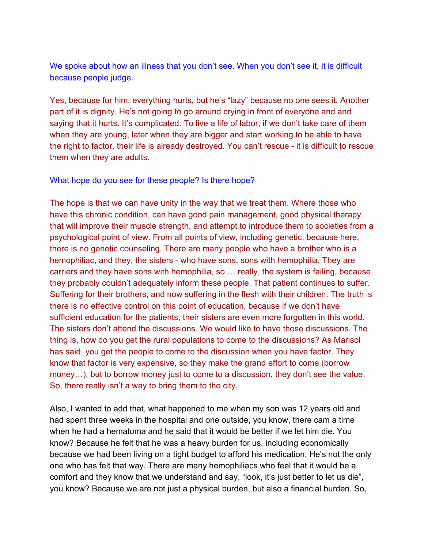We spoke about how an illness that you don't see. When you don't see it, it is difficult because people judge.

Yes, because for him, everything hurts, but he's "lazy" because no one sees it. Another part of it is dignity. He's not going to go around crying in front of everyone and and saying that it hurts. It's complicated. To live a life of labor, if we don't take care of them when they are young, later when they are bigger and start working to be able to have the right to factor, their life is already destroyed. You can't rescue - it is difficult to rescue them when they are adults.

#### What hope do you see for these people? Is there hope?

The hope is that we can have unity in the way that we treat them. Where those who have this chronic condition, can have good pain management, good physical therapy that will improve their muscle strength, and attempt to introduce them to societies from a psychological point of view. From all points of view, including genetic, because here, there is no genetic counseling. There are many people who have a brother who is a hemophiliac, and they, the sisters - who have sons, sons with hemophilia. They are carriers and they have sons with hemophilia, so … really, the system is failing, because they probably couldn't adequately inform these people. That patient continues to suffer. Suffering for their brothers, and now suffering in the flesh with their children. The truth is there is no effective control on this point of education, because if we don't have sufficient education for the patients, their sisters are even more forgotten in this world. The sisters don't attend the discussions. We would like to have those discussions. The thing is, how do you get the rural populations to come to the discussions? As Marisol has said, you get the people to come to the discussion when you have factor. They know that factor is very expensive, so they make the grand effort to come (borrow money…), but to borrow money just to come to a discussion, they don't see the value. So, there really isn't a way to bring them to the city.

Also, I wanted to add that, what happened to me when my son was 12 years old and had spent three weeks in the hospital and one outside, you know, there cam a time when he had a hematoma and he said that it would be better if we let him die. You know? Because he felt that he was a heavy burden for us, including economically because we had been living on a tight budget to afford his medication. He's not the only one who has felt that way. There are many hemophiliacs who feel that it would be a comfort and they know that we understand and say, "look, it's just better to let us die", you know? Because we are not just a physical burden, but also a financial burden. So,